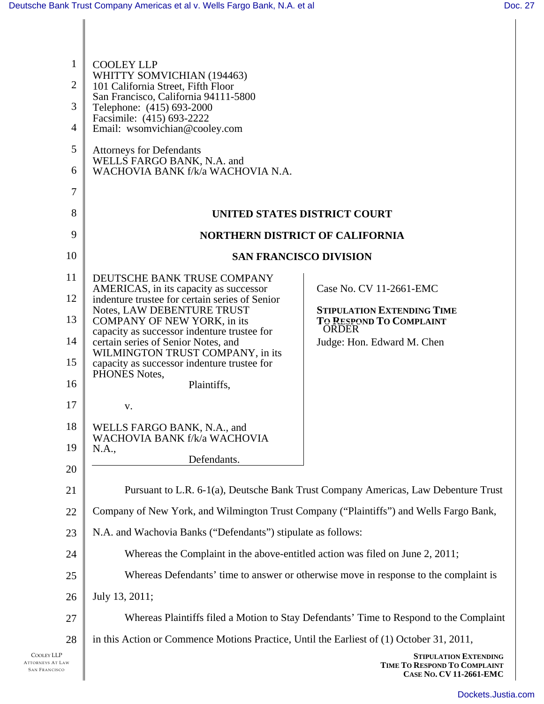| $\mathbf{1}$<br>$\overline{2}$ | <b>COOLEY LLP</b><br>WHITTY SOMVICHIAN (194463)<br>101 California Street, Fifth Floor                           |                                                                                         |
|--------------------------------|-----------------------------------------------------------------------------------------------------------------|-----------------------------------------------------------------------------------------|
| 3                              | San Francisco, California 94111-5800<br>Telephone: (415) 693-2000<br>Facsimile: (415) 693-2222                  |                                                                                         |
| $\overline{4}$                 | Email: wsomvichian@cooley.com                                                                                   |                                                                                         |
| 5<br>6                         | <b>Attorneys for Defendants</b><br>WELLS FARGO BANK, N.A. and<br>WACHOVIA BANK f/k/a WACHOVIA N.A.              |                                                                                         |
| 7                              |                                                                                                                 |                                                                                         |
| 8                              | UNITED STATES DISTRICT COURT                                                                                    |                                                                                         |
| 9                              | <b>NORTHERN DISTRICT OF CALIFORNIA</b>                                                                          |                                                                                         |
| 10                             | <b>SAN FRANCISCO DIVISION</b>                                                                                   |                                                                                         |
| 11                             | DEUTSCHE BANK TRUSE COMPANY                                                                                     |                                                                                         |
| 12                             | AMERICAS, in its capacity as successor<br>indenture trustee for certain series of Senior                        | Case No. CV 11-2661-EMC                                                                 |
| 13                             | Notes, LAW DEBENTURE TRUST<br><b>COMPANY OF NEW YORK, in its</b><br>capacity as successor indenture trustee for | <b>STIPULATION EXTENDING TIME</b><br>TO RESPOND TO COMPLAINT<br><b>ORDER</b>            |
| 14                             | certain series of Senior Notes, and<br>WILMINGTON TRUST COMPANY, in its                                         | Judge: Hon. Edward M. Chen                                                              |
| 15                             | capacity as successor indenture trustee for<br>PHONES Notes,                                                    |                                                                                         |
| 16                             | Plaintiffs,                                                                                                     |                                                                                         |
| 17                             | V.                                                                                                              |                                                                                         |
| 18                             | WELLS FARGO BANK, N.A., and<br>WACHOVIA BANK f/k/a WACHOVIA                                                     |                                                                                         |
| 19                             | N.A.,<br>Defendants.                                                                                            |                                                                                         |
| 20                             |                                                                                                                 |                                                                                         |
| 21                             | Pursuant to L.R. 6-1(a), Deutsche Bank Trust Company Americas, Law Debenture Trust                              |                                                                                         |
| 22                             | Company of New York, and Wilmington Trust Company ("Plaintiffs") and Wells Fargo Bank,                          |                                                                                         |
| 23                             | N.A. and Wachovia Banks ("Defendants") stipulate as follows:                                                    |                                                                                         |
| 24                             | Whereas the Complaint in the above-entitled action was filed on June 2, 2011;                                   |                                                                                         |
| 25                             | Whereas Defendants' time to answer or otherwise move in response to the complaint is                            |                                                                                         |
| 26                             | July 13, 2011;                                                                                                  |                                                                                         |
| 27                             | Whereas Plaintiffs filed a Motion to Stay Defendants' Time to Respond to the Complaint                          |                                                                                         |
| 28                             | in this Action or Commence Motions Practice, Until the Earliest of (1) October 31, 2011,                        |                                                                                         |
| AW                             |                                                                                                                 | <b>STIPULATION EXTENDING</b><br>TIME TO RESPOND TO COMPLAINT<br>CASE No. CV 11-2661-EMC |